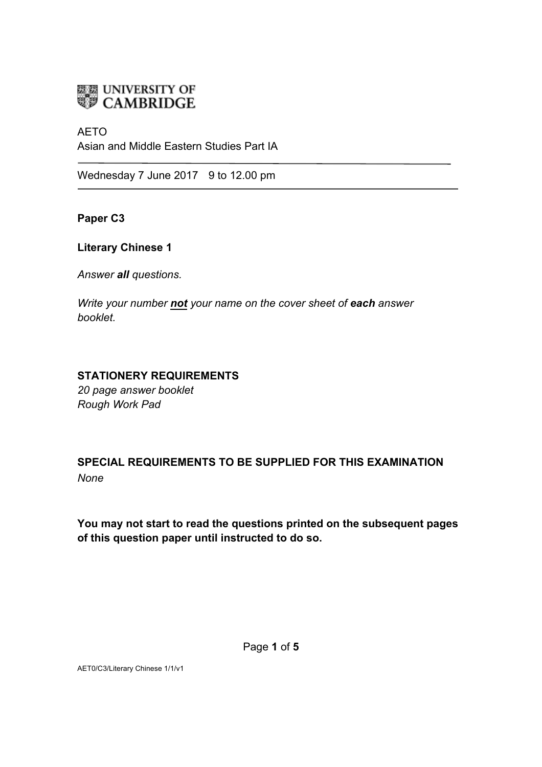

### AETO

Asian and Middle Eastern Studies Part IA

Wednesday 7 June 2017 9 to 12.00 pm

**Paper C3**

## **Literary Chinese 1**

*Answer all questions.* 

*Write your number not your name on the cover sheet of each answer booklet.* 

# **STATIONERY REQUIREMENTS**

*20 page answer booklet Rough Work Pad*

**SPECIAL REQUIREMENTS TO BE SUPPLIED FOR THIS EXAMINATION** *None*

**You may not start to read the questions printed on the subsequent pages of this question paper until instructed to do so.**

AET0/C3/Literary Chinese 1/1/v1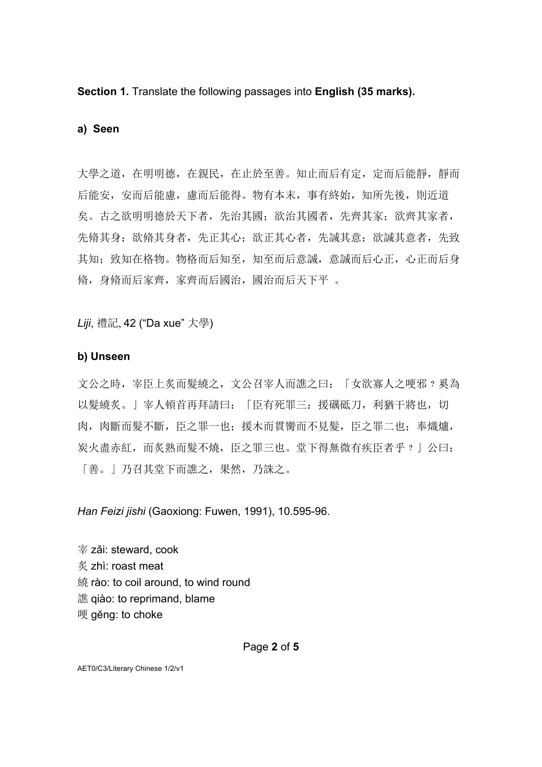**Section 1.** Translate the following passages into **English (35 marks).**

#### **a) Seen**

大學之道,在明明德,在親民,在止於至善。知止而后有定,定而后能靜,靜而 后能安,安而后能慮,慮而后能得。物有本末,事有終始,知所先後,則近道 矣。古之欲明明德於天下者,先治其國;欲治其國者,先齊其家;欲齊其家者, 先脩其身;欲脩其身者,先正其心;欲正其心者,先誠其意;欲誠其意者,先致 其知;致知在格物。物格而后知至,知至而后意誠,意誠而后心正,心正而后身 脩,身脩而后家齊,家齊而后國治,國治而后天下平 。

*Liji*, 禮記, 42 ("Da xue" 大學)

### **b) Unseen**

文公之時,宰臣上炙而髮繞之,文公召宰人而譙之曰:「女欲寡人之哽邪?奚為 以髮繞炙。」宰人頓首再拜請曰:「臣有死罪三:援礪砥刀,利猶干將也,切 肉,肉斷而髮不斷,臣之罪一也;援木而貫臠而不見髮,臣之罪二也;奉熾爐, 炭火盡赤紅,而炙熟而髮不燒,臣之罪三也。堂下得無微有疾臣者乎﹖」公曰: 「善。」乃召其堂下而譙之,果然,乃誅之。

*Han Feizi jishi* (Gaoxiong: Fuwen, 1991), 10.595-96.

宰 zǎi: steward, cook 炙 zhì: roast meat 繞 rào: to coil around, to wind round 譙 qiào: to reprimand, blame 哽 gĕng: to choke

AET0/C3/Literary Chinese 1/2/v1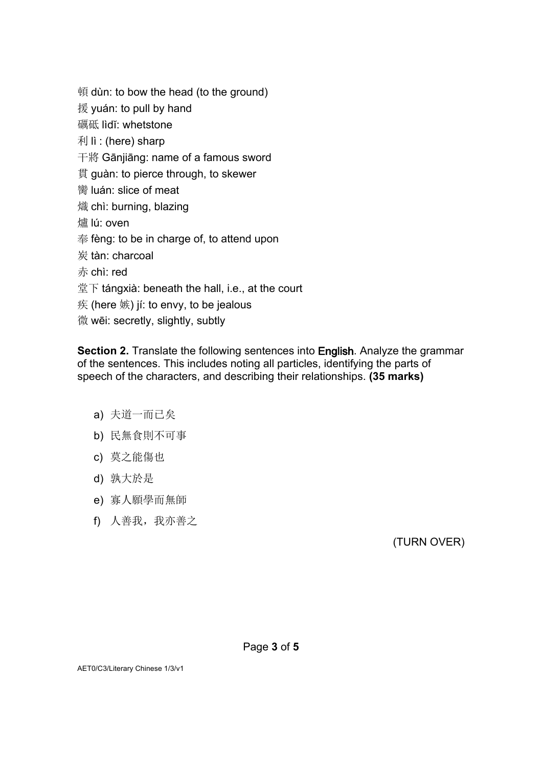頓 dùn: to bow the head (to the ground)  $l$   $\frac{1}{2}$  yuán: to pull by hand 礪砥 lìdĭ: whetstone 利 lì : (here) sharp 干將 Gānjiāng: name of a famous sword 貫 guàn: to pierce through, to skewer 臠 luán: slice of meat 熾 chì: burning, blazing 爐 lú: oven 奉 fèng: to be in charge of, to attend upon 炭 tàn: charcoal 赤 chì: red  $\n  $\n *\n *\n *\n *\n *\n *\n******$ \n*\n *\n *\n* \n *\n *\n* \n *\n *\n* \n *\n *\n* \n *\n* \n *\n* \n *\n* \n *\n* \n *\n* \n *\n* \n *\n* \n *\n* \n *\n* \n *\n* \n *\n* \n*****$ 疾 (here 嫉) jí: to envy, to be jealous 微 wēi: secretly, slightly, subtly

**Section 2.** Translate the following sentences into English. Analyze the grammar of the sentences. This includes noting all particles, identifying the parts of speech of the characters, and describing their relationships. **(35 marks)** 

- a) 夫道一而已矣
- b) 民無食則不可事
- c) 莫之能傷也
- d) 孰大於是
- e) 寡人願學而無師
- f) 人善我, 我亦善之

(TURN OVER)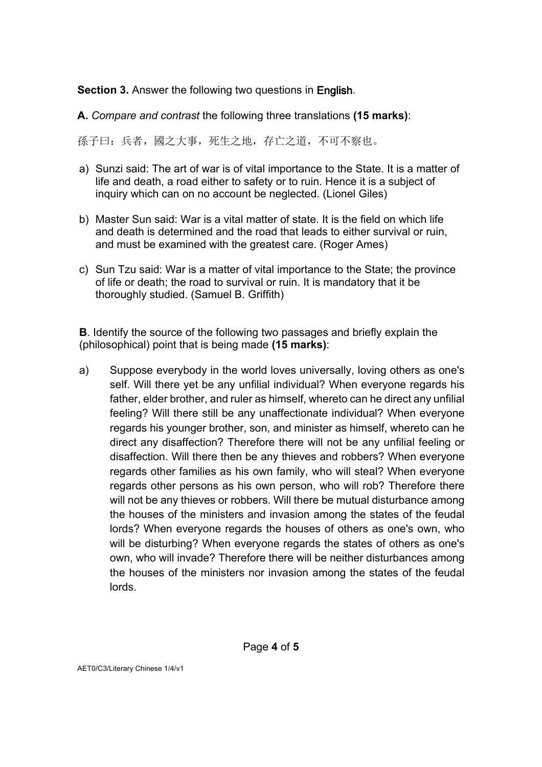**Section 3.** Answer the following two questions in English.

**A.** *Compare and contrast* the following three translations **(15 marks)**:

孫子曰:兵者,國之大事,死生之地,存亡之道,不可不察也。

- a) Sunzi said: The art of war is of vital importance to the State. It is a matter of life and death, a road either to safety or to ruin. Hence it is a subject of inquiry which can on no account be neglected. (Lionel Giles)
- b) Master Sun said: War is a vital matter of state. It is the field on which life and death is determined and the road that leads to either survival or ruin, and must be examined with the greatest care. (Roger Ames)
- c) Sun Tzu said: War is a matter of vital importance to the State; the province of life or death; the road to survival or ruin. It is mandatory that it be thoroughly studied. (Samuel B. Griffith)

**B**. Identify the source of the following two passages and briefly explain the (philosophical) point that is being made **(15 marks)**:

a) Suppose everybody in the world loves universally, loving others as one's self. Will there yet be any unfilial individual? When everyone regards his father, elder brother, and ruler as himself, whereto can he direct any unfilial feeling? Will there still be any unaffectionate individual? When everyone regards his younger brother, son, and minister as himself, whereto can he direct any disaffection? Therefore there will not be any unfilial feeling or disaffection. Will there then be any thieves and robbers? When everyone regards other families as his own family, who will steal? When everyone regards other persons as his own person, who will rob? Therefore there will not be any thieves or robbers. Will there be mutual disturbance among the houses of the ministers and invasion among the states of the feudal lords? When everyone regards the houses of others as one's own, who will be disturbing? When everyone regards the states of others as one's own, who will invade? Therefore there will be neither disturbances among the houses of the ministers nor invasion among the states of the feudal lords.